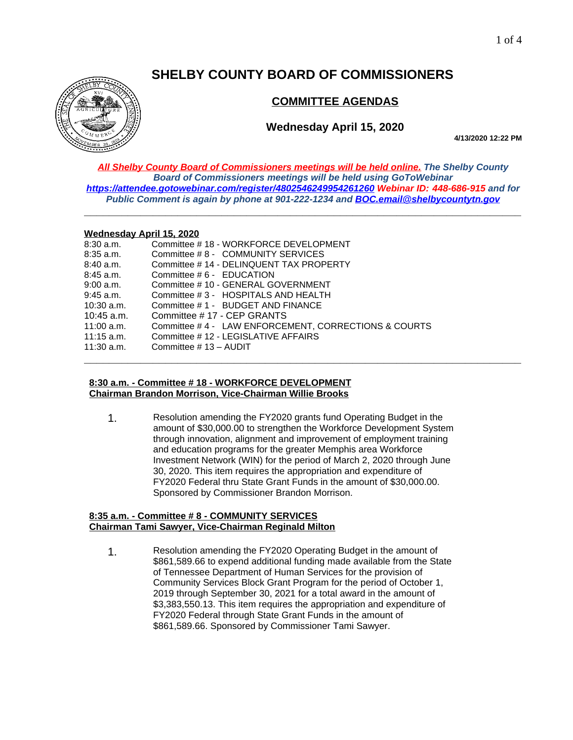# **SHELBY COUNTY BOARD OF COMMISSIONERS**



# **COMMITTEE AGENDAS**

# **Wednesday April 15, 2020**

**4/13/2020 12:22 PM**

*All Shelby County Board of Commissioners meetings will be held online. The Shelby County Board of Commissioners meetings will be held using GoToWebinar <https://attendee.gotowebinar.com/register/4802546249954261260> Webinar ID: 448-686-915 and for Public Comment is again by phone at 901-222-1234 and [BOC.email@shelbycountytn.gov](mailto:BOC.email@shelbycountytn.gov)*

**\_\_\_\_\_\_\_\_\_\_\_\_\_\_\_\_\_\_\_\_\_\_\_\_\_\_\_\_\_\_\_\_\_\_\_\_\_\_\_\_\_\_\_\_\_\_\_\_\_\_\_\_\_\_\_\_\_\_\_\_\_\_\_\_\_\_\_\_\_\_**

#### **Wednesday April 15, 2020**

| 8:30 a.m.    | Committee #18 - WORKFORCE DEVELOPMENT                |
|--------------|------------------------------------------------------|
| 8:35 a.m.    | Committee #8 - COMMUNITY SERVICES                    |
| 8:40 a.m.    | Committee #14 - DELINQUENT TAX PROPERTY              |
| 8:45 a.m.    | Committee # 6 - EDUCATION                            |
| 9:00 a.m.    | Committee # 10 - GENERAL GOVERNMENT                  |
| 9:45 a.m.    | Committee # 3 - HOSPITALS AND HEALTH                 |
| 10:30 a.m.   | Committee #1 - BUDGET AND FINANCE                    |
| $10:45$ a.m. | Committee #17 - CEP GRANTS                           |
| 11:00 a.m.   | Committee #4 - LAW ENFORCEMENT, CORRECTIONS & COURTS |
| $11:15$ a.m. | Committee #12 - LEGISLATIVE AFFAIRS                  |
| $11:30$ a.m. | Committee # 13 - AUDIT                               |
|              |                                                      |

#### **8:30 a.m. - Committee # 18 - WORKFORCE DEVELOPMENT Chairman Brandon Morrison, Vice-Chairman Willie Brooks**

1. Resolution amending the FY2020 grants fund Operating Budget in the amount of \$30,000.00 to strengthen the Workforce Development System through innovation, alignment and improvement of employment training and education programs for the greater Memphis area Workforce Investment Network (WIN) for the period of March 2, 2020 through June 30, 2020. This item requires the appropriation and expenditure of FY2020 Federal thru State Grant Funds in the amount of \$30,000.00. Sponsored by Commissioner Brandon Morrison.

### **8:35 a.m. - Committee # 8 - COMMUNITY SERVICES Chairman Tami Sawyer, Vice-Chairman Reginald Milton**

1. Resolution amending the FY2020 Operating Budget in the amount of \$861,589.66 to expend additional funding made available from the State of Tennessee Department of Human Services for the provision of Community Services Block Grant Program for the period of October 1, 2019 through September 30, 2021 for a total award in the amount of \$3,383,550.13. This item requires the appropriation and expenditure of FY2020 Federal through State Grant Funds in the amount of \$861,589.66. Sponsored by Commissioner Tami Sawyer.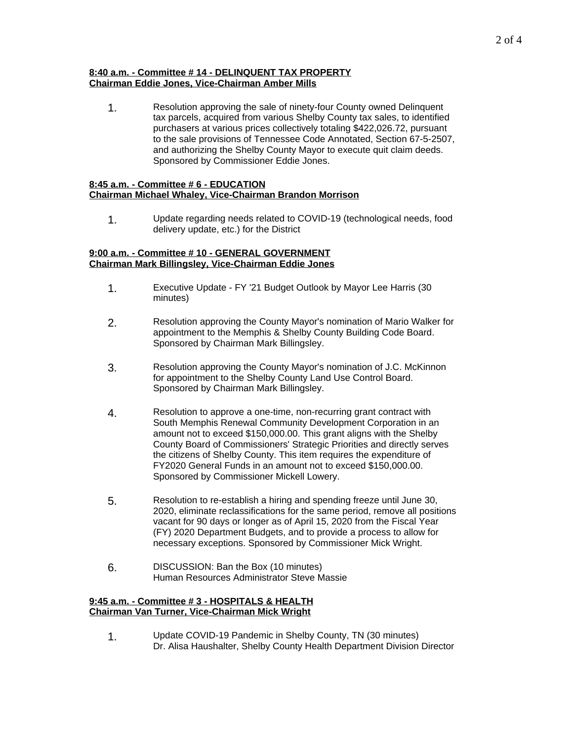## **8:40 a.m. - Committee # 14 - DELINQUENT TAX PROPERTY Chairman Eddie Jones, Vice-Chairman Amber Mills**

1. Resolution approving the sale of ninety-four County owned Delinquent tax parcels, acquired from various Shelby County tax sales, to identified purchasers at various prices collectively totaling \$422,026.72, pursuant to the sale provisions of Tennessee Code Annotated, Section 67-5-2507, and authorizing the Shelby County Mayor to execute quit claim deeds. Sponsored by Commissioner Eddie Jones.

#### **8:45 a.m. - Committee # 6 - EDUCATION Chairman Michael Whaley, Vice-Chairman Brandon Morrison**

1. Update regarding needs related to COVID-19 (technological needs, food delivery update, etc.) for the District

#### **9:00 a.m. - Committee # 10 - GENERAL GOVERNMENT Chairman Mark Billingsley, Vice-Chairman Eddie Jones**

- 1. Executive Update FY '21 Budget Outlook by Mayor Lee Harris (30 minutes)
- 2. Resolution approving the County Mayor's nomination of Mario Walker for appointment to the Memphis & Shelby County Building Code Board. Sponsored by Chairman Mark Billingsley.
- 3. Resolution approving the County Mayor's nomination of J.C. McKinnon for appointment to the Shelby County Land Use Control Board. Sponsored by Chairman Mark Billingsley.
- 4. Resolution to approve a one-time, non-recurring grant contract with South Memphis Renewal Community Development Corporation in an amount not to exceed \$150,000.00. This grant aligns with the Shelby County Board of Commissioners' Strategic Priorities and directly serves the citizens of Shelby County. This item requires the expenditure of FY2020 General Funds in an amount not to exceed \$150,000.00. Sponsored by Commissioner Mickell Lowery.
- 5. Resolution to re-establish a hiring and spending freeze until June 30, 2020, eliminate reclassifications for the same period, remove all positions vacant for 90 days or longer as of April 15, 2020 from the Fiscal Year (FY) 2020 Department Budgets, and to provide a process to allow for necessary exceptions. Sponsored by Commissioner Mick Wright.
- 6. DISCUSSION: Ban the Box (10 minutes) Human Resources Administrator Steve Massie

### **9:45 a.m. - Committee # 3 - HOSPITALS & HEALTH Chairman Van Turner, Vice-Chairman Mick Wright**

1. Update COVID-19 Pandemic in Shelby County, TN (30 minutes) Dr. Alisa Haushalter, Shelby County Health Department Division Director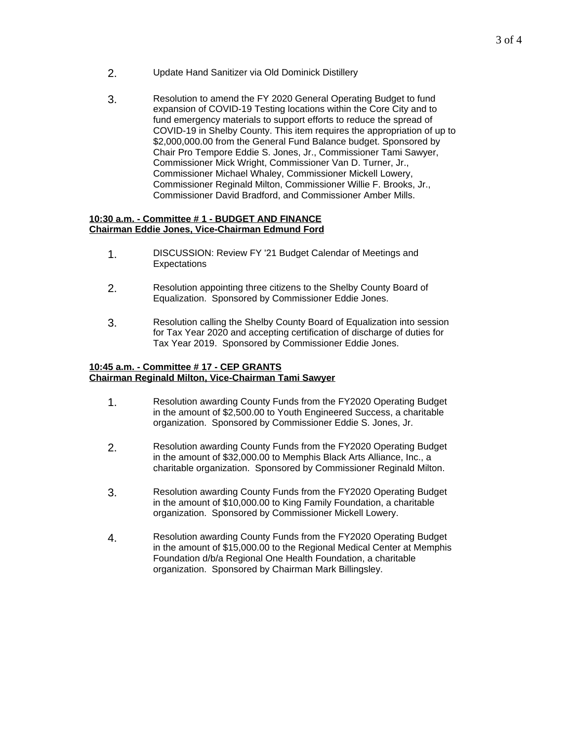- 2. Update Hand Sanitizer via Old Dominick Distillery
- 3. Resolution to amend the FY 2020 General Operating Budget to fund expansion of COVID-19 Testing locations within the Core City and to fund emergency materials to support efforts to reduce the spread of COVID-19 in Shelby County. This item requires the appropriation of up to \$2,000,000.00 from the General Fund Balance budget. Sponsored by Chair Pro Tempore Eddie S. Jones, Jr., Commissioner Tami Sawyer, Commissioner Mick Wright, Commissioner Van D. Turner, Jr., Commissioner Michael Whaley, Commissioner Mickell Lowery, Commissioner Reginald Milton, Commissioner Willie F. Brooks, Jr., Commissioner David Bradford, and Commissioner Amber Mills.

#### **10:30 a.m. - Committee # 1 - BUDGET AND FINANCE Chairman Eddie Jones, Vice-Chairman Edmund Ford**

- 1. DISCUSSION: Review FY '21 Budget Calendar of Meetings and **Expectations**
- 2. Resolution appointing three citizens to the Shelby County Board of Equalization. Sponsored by Commissioner Eddie Jones.
- 3. Resolution calling the Shelby County Board of Equalization into session for Tax Year 2020 and accepting certification of discharge of duties for Tax Year 2019. Sponsored by Commissioner Eddie Jones.

# **10:45 a.m. - Committee # 17 - CEP GRANTS Chairman Reginald Milton, Vice-Chairman Tami Sawyer**

- 1. Resolution awarding County Funds from the FY2020 Operating Budget in the amount of \$2,500.00 to Youth Engineered Success, a charitable organization. Sponsored by Commissioner Eddie S. Jones, Jr.
- 2. Resolution awarding County Funds from the FY2020 Operating Budget in the amount of \$32,000.00 to Memphis Black Arts Alliance, Inc., a charitable organization. Sponsored by Commissioner Reginald Milton.
- 3. Resolution awarding County Funds from the FY2020 Operating Budget in the amount of \$10,000.00 to King Family Foundation, a charitable organization. Sponsored by Commissioner Mickell Lowery.
- 4. Resolution awarding County Funds from the FY2020 Operating Budget in the amount of \$15,000.00 to the Regional Medical Center at Memphis Foundation d/b/a Regional One Health Foundation, a charitable organization. Sponsored by Chairman Mark Billingsley.